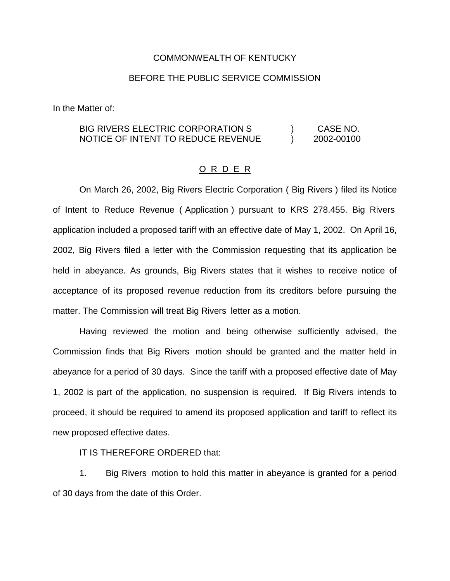## COMMONWEALTH OF KENTUCKY

## BEFORE THE PUBLIC SERVICE COMMISSION

In the Matter of:

## BIG RIVERS ELECTRIC CORPORATION S  $\qquad \qquad$  CASE NO. NOTICE OF INTENT TO REDUCE REVENUE ) 2002-00100

## O R D E R

On March 26, 2002, Big Rivers Electric Corporation ( Big Rivers ) filed its Notice of Intent to Reduce Revenue ( Application ) pursuant to KRS 278.455. Big Rivers application included a proposed tariff with an effective date of May 1, 2002. On April 16, 2002, Big Rivers filed a letter with the Commission requesting that its application be held in abeyance. As grounds, Big Rivers states that it wishes to receive notice of acceptance of its proposed revenue reduction from its creditors before pursuing the matter. The Commission will treat Big Rivers letter as a motion.

Having reviewed the motion and being otherwise sufficiently advised, the Commission finds that Big Rivers motion should be granted and the matter held in abeyance for a period of 30 days. Since the tariff with a proposed effective date of May 1, 2002 is part of the application, no suspension is required. If Big Rivers intends to proceed, it should be required to amend its proposed application and tariff to reflect its new proposed effective dates.

IT IS THEREFORE ORDERED that:

1. Big Rivers motion to hold this matter in abeyance is granted for a period of 30 days from the date of this Order.